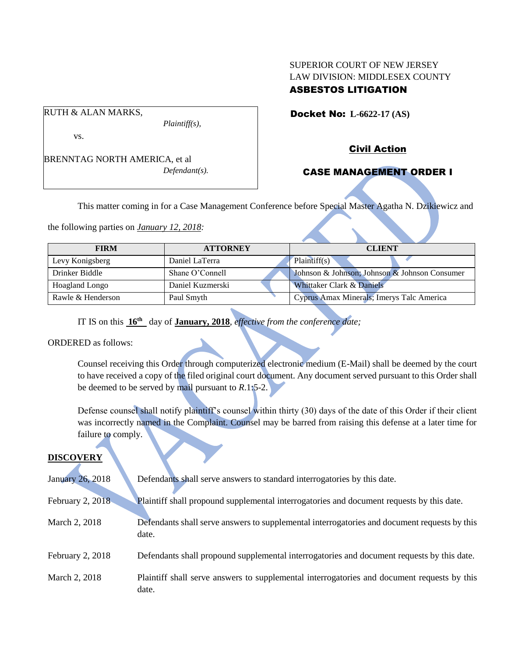# SUPERIOR COURT OF NEW JERSEY LAW DIVISION: MIDDLESEX COUNTY ASBESTOS LITIGATION

Docket No: **L-6622-17 (AS)** 

vs.

RUTH & ALAN MARKS,

BRENNTAG NORTH AMERICA, et al *Defendant(s).*

*Plaintiff(s),*

Civil Action

# CASE MANAGEMENT ORDER I

This matter coming in for a Case Management Conference before Special Master Agatha N. Dzikiewicz and

the following parties on *January 12, 2018:*

| <b>FIRM</b>       | <b>ATTORNEY</b>  | <b>CLIENT</b>                                 |
|-------------------|------------------|-----------------------------------------------|
| Levy Konigsberg   | Daniel LaTerra   | Plaintiff(s)                                  |
| Drinker Biddle    | Shane O'Connell  | Johnson & Johnson; Johnson & Johnson Consumer |
| Hoagland Longo    | Daniel Kuzmerski | Whittaker Clark & Daniels                     |
| Rawle & Henderson | Paul Smyth       | Cyprus Amax Minerals; Imerys Talc America     |

IT IS on this **16th** day of **January, 2018**, *effective from the conference date;*

ORDERED as follows:

Counsel receiving this Order through computerized electronic medium (E-Mail) shall be deemed by the court to have received a copy of the filed original court document. Any document served pursuant to this Order shall be deemed to be served by mail pursuant to *R*.1:5-2.

Defense counsel shall notify plaintiff's counsel within thirty (30) days of the date of this Order if their client was incorrectly named in the Complaint. Counsel may be barred from raising this defense at a later time for failure to comply.

## **DISCOVERY**

| <b>January 26, 2018</b> | Defendants shall serve answers to standard interrogatories by this date.                              |
|-------------------------|-------------------------------------------------------------------------------------------------------|
| February 2, 2018        | Plaintiff shall propound supplemental interrogatories and document requests by this date.             |
| March 2, 2018           | Defendants shall serve answers to supplemental interrogatories and document requests by this<br>date. |
| February 2, 2018        | Defendants shall propound supplemental interrogatories and document requests by this date.            |
| March 2, 2018           | Plaintiff shall serve answers to supplemental interrogatories and document requests by this<br>date.  |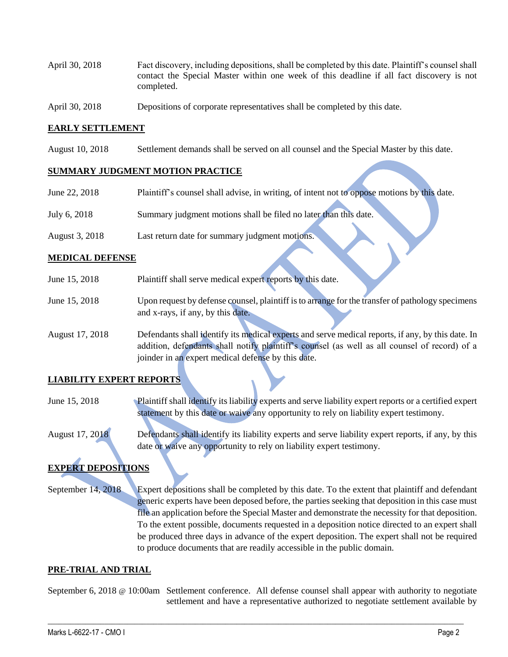- April 30, 2018 Fact discovery, including depositions, shall be completed by this date. Plaintiff's counsel shall contact the Special Master within one week of this deadline if all fact discovery is not completed.
- April 30, 2018 Depositions of corporate representatives shall be completed by this date.

#### **EARLY SETTLEMENT**

August 10, 2018 Settlement demands shall be served on all counsel and the Special Master by this date.

#### **SUMMARY JUDGMENT MOTION PRACTICE**

| June 22, 2018  | Plaintiff's counsel shall advise, in writing, of intent not to oppose motions by this date. |
|----------------|---------------------------------------------------------------------------------------------|
| July 6, 2018   | Summary judgment motions shall be filed no later than this date.                            |
| August 3, 2018 | Last return date for summary judgment motions.                                              |

#### **MEDICAL DEFENSE**

| June 15, 2018   | Plaintiff shall serve medical expert reports by this date.                                        |
|-----------------|---------------------------------------------------------------------------------------------------|
|                 |                                                                                                   |
| June 15, 2018   | Upon request by defense counsel, plaintiff is to arrange for the transfer of pathology specimens  |
|                 | and x-rays, if any, by this date.                                                                 |
| August 17, 2018 | Defendants shall identify its medical experts and serve medical reports, if any, by this date. In |
|                 | addition, defendants shall notify plaintiff's counsel (as well as all counsel of record) of a     |
|                 | joinder in an expert medical defense by this date.                                                |

## **LIABILITY EXPERT REPORTS**

- June 15, 2018 Plaintiff shall identify its liability experts and serve liability expert reports or a certified expert statement by this date or waive any opportunity to rely on liability expert testimony.
- August 17, 2018 Defendants shall identify its liability experts and serve liability expert reports, if any, by this date or waive any opportunity to rely on liability expert testimony.

# **EXPERT DEPOSITIONS**

September 14, 2018 Expert depositions shall be completed by this date. To the extent that plaintiff and defendant generic experts have been deposed before, the parties seeking that deposition in this case must file an application before the Special Master and demonstrate the necessity for that deposition. To the extent possible, documents requested in a deposition notice directed to an expert shall be produced three days in advance of the expert deposition. The expert shall not be required to produce documents that are readily accessible in the public domain.

## **PRE-TRIAL AND TRIAL**

September 6, 2018 @ 10:00am Settlement conference. All defense counsel shall appear with authority to negotiate settlement and have a representative authorized to negotiate settlement available by

 $\_$  ,  $\_$  ,  $\_$  ,  $\_$  ,  $\_$  ,  $\_$  ,  $\_$  ,  $\_$  ,  $\_$  ,  $\_$  ,  $\_$  ,  $\_$  ,  $\_$  ,  $\_$  ,  $\_$  ,  $\_$  ,  $\_$  ,  $\_$  ,  $\_$  ,  $\_$  ,  $\_$  ,  $\_$  ,  $\_$  ,  $\_$  ,  $\_$  ,  $\_$  ,  $\_$  ,  $\_$  ,  $\_$  ,  $\_$  ,  $\_$  ,  $\_$  ,  $\_$  ,  $\_$  ,  $\_$  ,  $\_$  ,  $\_$  ,